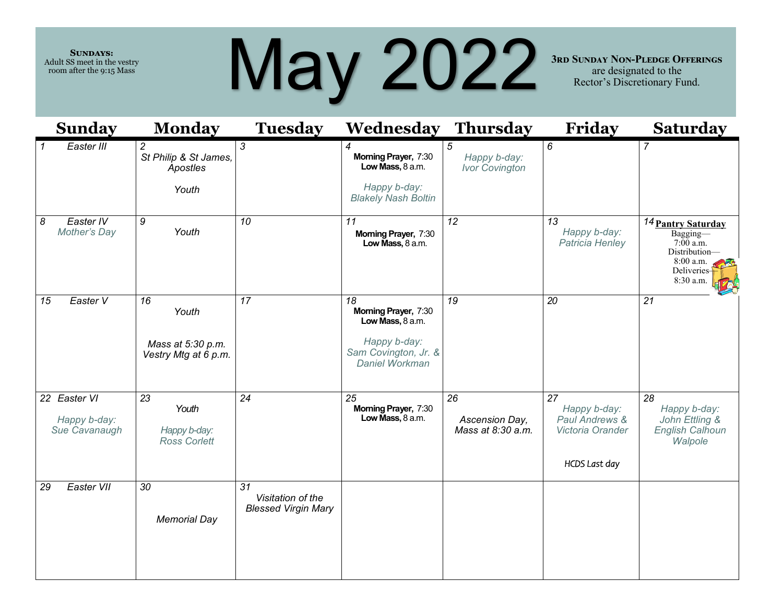**Sundays:**  Adult SS meet in the vestry room after the 9:15 Mass

## May 2022

**3rd Sunday Non-Pledge Offerings**  are designated to the Rector's Discretionary Fund.

| <b>Sunday</b>                                 | <b>Monday</b>                                                | <b>Tuesday</b>                                        | <b>Wednesday Thursday</b>                                                                                |                                            | Friday                                                                    | <b>Saturday</b>                                                                                         |
|-----------------------------------------------|--------------------------------------------------------------|-------------------------------------------------------|----------------------------------------------------------------------------------------------------------|--------------------------------------------|---------------------------------------------------------------------------|---------------------------------------------------------------------------------------------------------|
| Easter III<br>1                               | $\overline{c}$<br>St Philip & St James,<br>Apostles<br>Youth | 3                                                     | Morning Prayer, 7:30<br>Low Mass, 8 a.m.<br>Happy b-day:<br><b>Blakely Nash Boltin</b>                   | 5<br>Happy b-day:<br><b>Ivor Covington</b> | 6                                                                         | 7                                                                                                       |
| 8<br>Easter IV<br>Mother's Day                | 9<br>Youth                                                   | 10                                                    | 11<br>Morning Prayer, 7:30<br>Low Mass, 8 a.m.                                                           | 12                                         | 13<br>Happy b-day:<br>Patricia Henley                                     | 14 Pantry Saturday<br>Bagging-<br>$7:00$ a.m.<br>Distribution-<br>8:00 a.m.<br>Deliveries-<br>8:30 a.m. |
| Easter V<br>15                                | 16<br>Youth<br>Mass at 5:30 p.m.<br>Vestry Mtg at 6 p.m.     | 17                                                    | 18<br>Morning Prayer, 7:30<br>Low Mass, 8 a.m.<br>Happy b-day:<br>Sam Covington, Jr. &<br>Daniel Workman | 19                                         | 20                                                                        | 21                                                                                                      |
| 22 Easter VI<br>Happy b-day:<br>Sue Cavanaugh | 23<br>Youth<br>Happy b-day:<br><b>Ross Corlett</b>           | 24                                                    | 25<br>Morning Prayer, 7:30<br>Low Mass, 8 a.m.                                                           | 26<br>Ascension Day,<br>Mass at 8:30 a.m.  | 27<br>Happy b-day:<br>Paul Andrews &<br>Victoria Orander<br>HCDS Last day | 28<br>Happy b-day:<br>John Ettling &<br><b>English Calhoun</b><br>Walpole                               |
| Easter VII<br>29                              | 30<br><b>Memorial Day</b>                                    | 31<br>Visitation of the<br><b>Blessed Virgin Mary</b> |                                                                                                          |                                            |                                                                           |                                                                                                         |